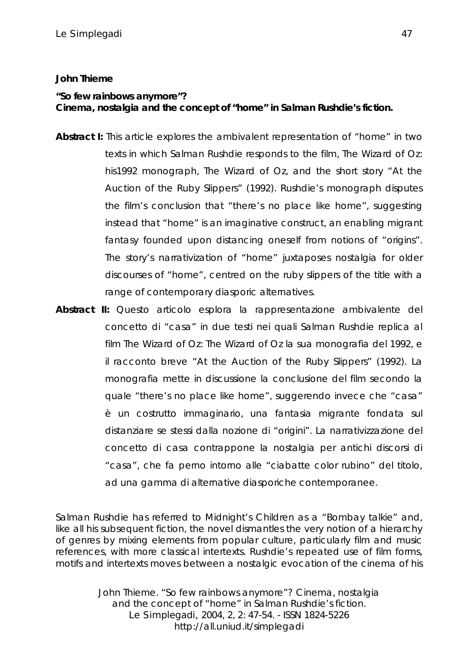## **John Thieme**

## *"So few rainbows anymore"? Cinema, nostalgia and the concept of "home" in Salman Rushdie's fiction.*

- **Abstract I:** This article explores the ambivalent representation of "home" in two texts in which Salman Rushdie responds to the film, The Wizard of Oz: his1992 monograph, The Wizard of Oz, and the short story "At the Auction of the Ruby Slippers" (1992). Rushdie's monograph disputes the film's conclusion that "there's no place like home", suggesting instead that "home" is an imaginative construct, an enabling migrant fantasy founded upon distancing oneself from notions of "origins". The story's narrativization of "home" juxtaposes nostalgia for older discourses of "home", centred on the ruby slippers of the title with a range of contemporary diasporic alternatives.
- **Abstract II:** Questo articolo esplora la rappresentazione ambivalente del concetto di "casa" in due testi nei quali Salman Rushdie replica al film The Wizard of Oz: The Wizard of Oz la sua monografia del 1992, e il racconto breve "At the Auction of the Ruby Slippers" (1992). La monografia mette in discussione la conclusione del film secondo la quale "there's no place like home", suggerendo invece che "casa" è un costrutto immaginario, una fantasia migrante fondata sul distanziare se stessi dalla nozione di "origini". La narrativizzazione del concetto di casa contrappone la nostalgia per antichi discorsi di "casa", che fa perno intorno alle "ciabatte color rubino" del titolo, ad una gamma di alternative diasporiche contemporanee.

Salman Rushdie has referred to Midnight's Children as a "Bombay talkie" and, like all his subsequent fiction, the novel dismantles the very notion of a hierarchy of genres by mixing elements from popular culture, particularly film and music references, with more classical intertexts. Rushdie's repeated use of film forms, motifs and intertexts moves between a nostalgic evocation of the cinema of his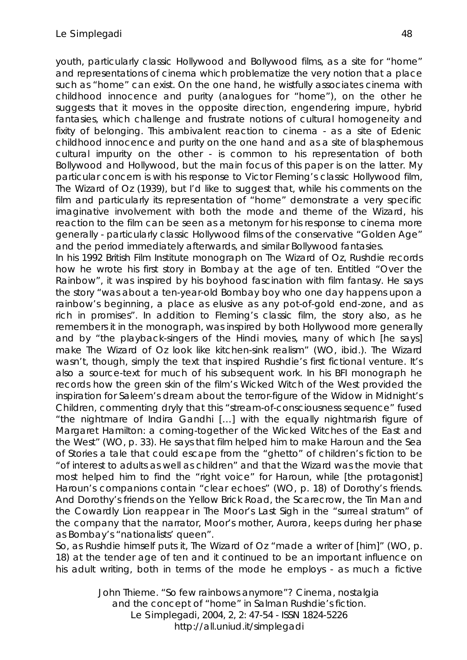youth, particularly classic Hollywood and Bollywood films, as a site for "home" and representations of cinema which problematize the very notion that a place such as "home" can exist. On the one hand, he wistfully associates cinema with childhood innocence and purity (analogues for "home"), on the other he suggests that it moves in the opposite direction, engendering impure, hybrid fantasies, which challenge and frustrate notions of cultural homogeneity and fixity of belonging. This ambivalent reaction to cinema - as a site of Edenic childhood innocence and purity on the one hand and as a site of blasphemous cultural impurity on the other - is common to his representation of both Bollywood and Hollywood, but the main focus of this paper is on the latter. My particular concern is with his response to Victor Fleming's classic Hollywood film, The Wizard of Oz (1939), but I'd like to suggest that, while his comments on the film and particularly its representation of "home" demonstrate a very specific imaginative involvement with both the mode and theme of the Wizard, his reaction to the film can be seen as a metonym for his response to cinema more generally - particularly classic Hollywood films of the conservative "Golden Age" and the period immediately afterwards, and similar Bollywood fantasies.

In his 1992 British Film Institute monograph on The Wizard of Oz, Rushdie records how he wrote his first story in Bombay at the age of ten. Entitled "Over the Rainbow", it was inspired by his boyhood fascination with film fantasy. He says the story "was about a ten-year-old Bombay boy who one day happens upon a rainbow's beginning, a place as elusive as any pot-of-gold end-zone, and as rich in promises". In addition to Fleming's classic film, the story also, as he remembers it in the monograph, was inspired by both Hollywood more generally and by "the playback-singers of the Hindi movies, many of which [he says] make The Wizard of Oz look like kitchen-sink realism" (WO, ibid.). The Wizard wasn't, though, simply the text that inspired Rushdie's first fictional venture. It's also a source-text for much of his subsequent work. In his BFI monograph he records how the green skin of the film's Wicked Witch of the West provided the inspiration for Saleem's dream about the terror-figure of the Widow in Midnight's Children, commenting dryly that this "stream-of-consciousness sequence" fused "the nightmare of Indira Gandhi […] with the equally nightmarish figure of Margaret Hamilton: a coming-together of the Wicked Witches of the East and the West" (WO, p. 33). He says that film helped him to make Haroun and the Sea of Stories a tale that could escape from the "ghetto" of children's fiction to be "of interest to adults as well as children" and that the Wizard was the movie that most helped him to find the "right voice" for Haroun, while [the protagonist] Haroun's companions contain "clear echoes" (WO, p. 18) of Dorothy's friends. And Dorothy's friends on the Yellow Brick Road, the Scarecrow, the Tin Man and the Cowardly Lion reappear in The Moor's Last Sigh in the "surreal stratum" of the company that the narrator, Moor's mother, Aurora, keeps during her phase as Bombay's "nationalists' queen".

So, as Rushdie himself puts it, The Wizard of Oz "made a writer of [him]" (WO, p. 18) at the tender age of ten and it continued to be an important influence on his adult writing, both in terms of the mode he employs - as much a fictive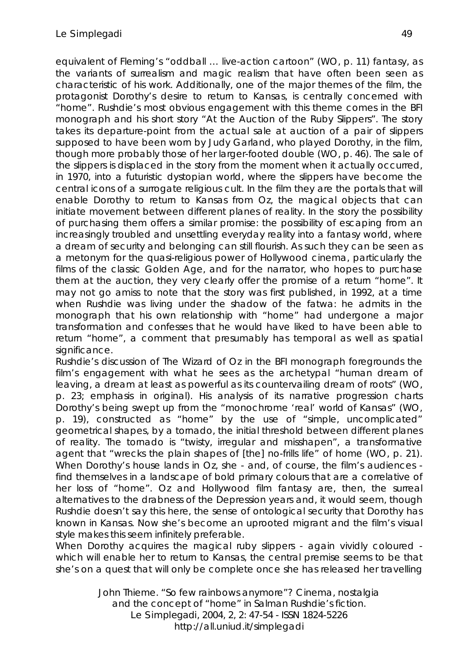equivalent of Fleming's "oddball … live-action cartoon" (WO, p. 11) fantasy, as the variants of surrealism and magic realism that have often been seen as characteristic of his work. Additionally, one of the major themes of the film, the protagonist Dorothy's desire to return to Kansas, is centrally concerned with "home". Rushdie's most obvious engagement with this theme comes in the BFI monograph and his short story "At the Auction of the Ruby Slippers". The story takes its departure-point from the actual sale at auction of a pair of slippers supposed to have been worn by Judy Garland, who played Dorothy, in the film, though more probably those of her larger-footed double (WO, p. 46). The sale of the slippers is displaced in the story from the moment when it actually occurred, in 1970, into a futuristic dystopian world, where the slippers have become the central icons of a surrogate religious cult. In the film they are the portals that will enable Dorothy to return to Kansas from Oz, the magical objects that can initiate movement between different planes of reality. In the story the possibility of purchasing them offers a similar promise: the possibility of escaping from an increasingly troubled and unsettling everyday reality into a fantasy world, where a dream of security and belonging can still flourish. As such they can be seen as a metonym for the quasi-religious power of Hollywood cinema, particularly the films of the classic Golden Age, and for the narrator, who hopes to purchase them at the auction, they very clearly offer the promise of a return "home". It may not go amiss to note that the story was first published, in 1992, at a time when Rushdie was living under the shadow of the fatwa: he admits in the monograph that his own relationship with "home" had undergone a major transformation and confesses that he would have liked to have been able to return "home", a comment that presumably has temporal as well as spatial significance.

Rushdie's discussion of The Wizard of Oz in the BFI monograph foregrounds the film's engagement with what he sees as the archetypal "human dream of leaving, a dream at least as powerful as its countervailing dream of roots" (WO, p. 23; emphasis in original). His analysis of its narrative progression charts Dorothy's being swept up from the "monochrome 'real' world of Kansas" (WO, p. 19), constructed as "home" by the use of "simple, uncomplicated" geometrical shapes, by a tornado, the initial threshold between different planes of reality. The tornado is "twisty, irregular and misshapen", a transformative agent that "wrecks the plain shapes of [the] no-frills life" of home (WO, p. 21). When Dorothy's house lands in Oz, she - and, of course, the film's audiences find themselves in a landscape of bold primary colours that are a correlative of her loss of "home". Oz and Hollywood film fantasy are, then, the surreal alternatives to the drabness of the Depression years and, it would seem, though Rushdie doesn't say this here, the sense of ontological security that Dorothy has known in Kansas. Now she's become an uprooted migrant and the film's visual style makes this seem infinitely preferable.

When Dorothy acquires the magical ruby slippers - again vividly coloured which will enable her to return to Kansas, the central premise seems to be that she's on a quest that will only be complete once she has released her travelling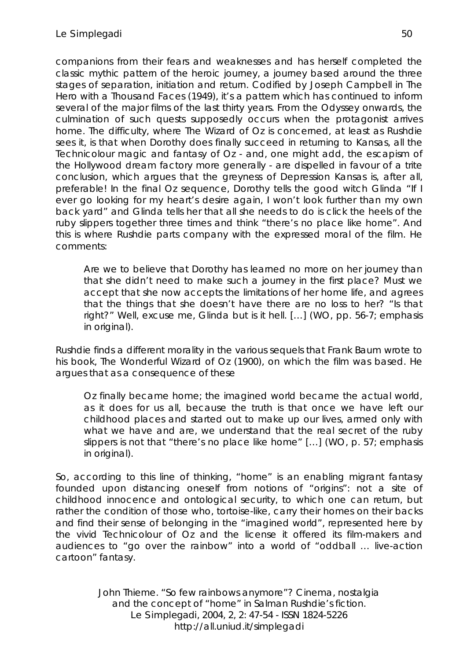companions from their fears and weaknesses and has herself completed the classic mythic pattern of the heroic journey, a journey based around the three stages of separation, initiation and return. Codified by Joseph Campbell in The Hero with a Thousand Faces (1949), it's a pattern which has continued to inform several of the major films of the last thirty years. From the Odyssey onwards, the culmination of such quests supposedly occurs when the protagonist arrives home. The difficulty, where The Wizard of Oz is concerned, at least as Rushdie sees it, is that when Dorothy does finally succeed in returning to Kansas, all the Technicolour magic and fantasy of Oz - and, one might add, the escapism of the Hollywood dream factory more generally - are dispelled in favour of a trite conclusion, which argues that the greyness of Depression Kansas is, after all, preferable! In the final Oz sequence, Dorothy tells the good witch Glinda "If I ever go looking for my heart's desire again, I won't look further than my own back yard" and Glinda tells her that all she needs to do is click the heels of the ruby slippers together three times and think "there's no place like home". And this is where Rushdie parts company with the expressed moral of the film. He comments:

Are we to believe that Dorothy has learned no more on her journey than that she didn't need to make such a journey in the first place? Must we accept that she now accepts the limitations of her home life, and agrees that the things that she doesn't have there are no loss to her? "Is that right?" Well, excuse me, Glinda but is it hell. […] (WO, pp. 56-7; emphasis in original).

Rushdie finds a different morality in the various sequels that Frank Baum wrote to his book, The Wonderful Wizard of Oz (1900), on which the film was based. He argues that as a consequence of these

Oz finally became home; the imagined world became the actual world, as it does for us all, because the truth is that once we have left our childhood places and started out to make up our lives, armed only with what we have and are, we understand that the real secret of the ruby slippers is not that "there's no place like home" […] (WO, p. 57; emphasis in original).

So, according to this line of thinking, "home" is an enabling migrant fantasy founded upon distancing oneself from notions of "origins": not a site of childhood innocence and ontological security, to which one can return, but rather the condition of those who, tortoise-like, carry their homes on their backs and find their sense of belonging in the "imagined world", represented here by the vivid Technicolour of Oz and the license it offered its film-makers and audiences to "go over the rainbow" into a world of "oddball … live-action cartoon" fantasy.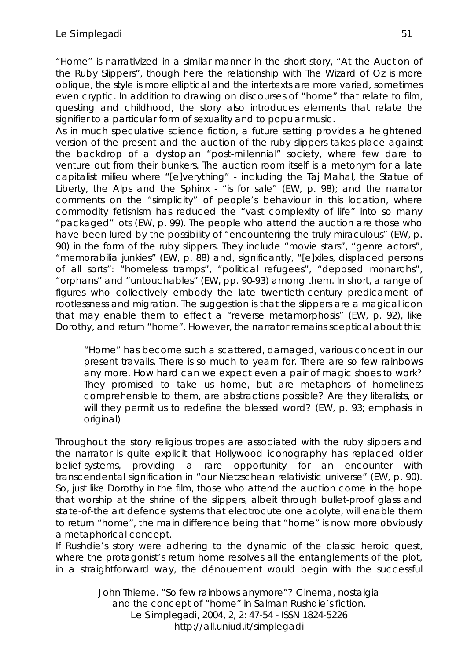"Home" is narrativized in a similar manner in the short story, "At the Auction of the Ruby Slippers", though here the relationship with The Wizard of Oz is more oblique, the style is more elliptical and the intertexts are more varied, sometimes even cryptic. In addition to drawing on discourses of "home" that relate to film, questing and childhood, the story also introduces elements that relate the signifier to a particular form of sexuality and to popular music.

As in much speculative science fiction, a future setting provides a heightened version of the present and the auction of the ruby slippers takes place against the backdrop of a dystopian "post-millennial" society, where few dare to venture out from their bunkers. The auction room itself is a metonym for a late capitalist milieu where "[e]verything" - including the Taj Mahal, the Statue of Liberty, the Alps and the Sphinx - "is for sale" (EW, p. 98); and the narrator comments on the "simplicity" of people's behaviour in this location, where commodity fetishism has reduced the "vast complexity of life" into so many "packaged" lots (EW, p. 99). The people who attend the auction are those who have been lured by the possibility of "encountering the truly miraculous" (EW, p. 90) in the form of the ruby slippers. They include "movie stars", "genre actors", "memorabilia junkies" (EW, p. 88) and, significantly, "[e]xiles, displaced persons of all sorts": "homeless tramps", "political refugees", "deposed monarchs", "orphans" and "untouchables" (EW, pp. 90-93) among them. In short, a range of figures who collectively embody the late twentieth-century predicament of rootlessness and migration. The suggestion is that the slippers are a magical icon that may enable them to effect a "reverse metamorphosis" (EW, p. 92), like Dorothy, and return "home". However, the narrator remains sceptical about this:

"Home" has become such a scattered, damaged, various concept in our present travails. There is so much to yearn for. There are so few rainbows any more. How hard can we expect even a pair of magic shoes to work? They promised to take us home, but are metaphors of homeliness comprehensible to them, are abstractions possible? Are they literalists, or will they permit us to redefine the blessed word? (EW, p. 93; emphasis in original)

Throughout the story religious tropes are associated with the ruby slippers and the narrator is quite explicit that Hollywood iconography has replaced older belief-systems, providing a rare opportunity for an encounter with transcendental signification in "our Nietzschean relativistic universe" (EW, p. 90). So, just like Dorothy in the film, those who attend the auction come in the hope that worship at the shrine of the slippers, albeit through bullet-proof glass and state-of-the art defence systems that electrocute one acolyte, will enable them to return "home", the main difference being that "home" is now more obviously a metaphorical concept.

If Rushdie's story were adhering to the dynamic of the classic heroic quest, where the protagonist's return home resolves all the entanglements of the plot, in a straightforward way, the dénouement would begin with the successful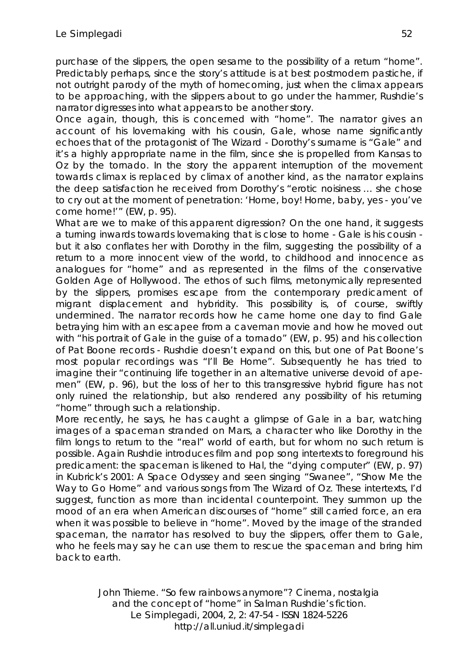purchase of the slippers, the open sesame to the possibility of a return "home". Predictably perhaps, since the story's attitude is at best postmodern pastiche, if not outright parody of the myth of homecoming, just when the climax appears to be approaching, with the slippers about to go under the hammer, Rushdie's narrator digresses into what appears to be another story.

Once again, though, this is concerned with "home". The narrator gives an account of his lovemaking with his cousin, Gale, whose name significantly echoes that of the protagonist of The Wizard - Dorothy's surname is "Gale" and it's a highly appropriate name in the film, since she is propelled from Kansas to Oz by the tornado. In the story the apparent interruption of the movement towards climax is replaced by climax of another kind, as the narrator explains the deep satisfaction he received from Dorothy's "erotic noisiness … she chose to cry out at the moment of penetration: 'Home, boy! Home, baby, yes - you've come home!'" (EW, p. 95).

What are we to make of this apparent digression? On the one hand, it suggests a turning inwards towards lovemaking that is close to home - Gale is his cousin but it also conflates her with Dorothy in the film, suggesting the possibility of a return to a more innocent view of the world, to childhood and innocence as analogues for "home" and as represented in the films of the conservative Golden Age of Hollywood. The ethos of such films, metonymically represented by the slippers, promises escape from the contemporary predicament of migrant displacement and hybridity. This possibility is, of course, swiftly undermined. The narrator records how he came home one day to find Gale betraying him with an escapee from a caveman movie and how he moved out with "his portrait of Gale in the quise of a tornado" (EW, p. 95) and his collection of Pat Boone records - Rushdie doesn't expand on this, but one of Pat Boone's most popular recordings was "I'll Be Home". Subsequently he has tried to imagine their "continuing life together in an alternative universe devoid of apemen" (EW, p. 96), but the loss of her to this transgressive hybrid figure has not only ruined the relationship, but also rendered any possibility of his returning "home" through such a relationship.

More recently, he says, he has caught a glimpse of Gale in a bar, watching images of a spaceman stranded on Mars, a character who like Dorothy in the film longs to return to the "real" world of earth, but for whom no such return is possible. Again Rushdie introduces film and pop song intertexts to foreground his predicament: the spaceman is likened to Hal, the "dying computer" (EW, p. 97) in Kubrick's 2001: A Space Odyssey and seen singing "Swanee", "Show Me the Way to Go Home" and various songs from The Wizard of Oz. These intertexts, I'd suggest, function as more than incidental counterpoint. They summon up the mood of an era when American discourses of "home" still carried force, an era when it was possible to believe in "home". Moved by the image of the stranded spaceman, the narrator has resolved to buy the slippers, offer them to Gale, who he feels may say he can use them to rescue the spaceman and bring him back to earth.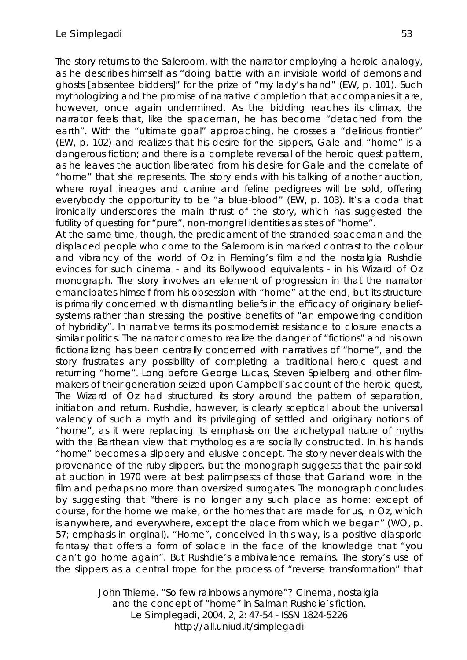The story returns to the Saleroom, with the narrator employing a heroic analogy, as he describes himself as "doing battle with an invisible world of demons and ghosts [absentee bidders]" for the prize of "my lady's hand" (EW, p. 101). Such mythologizing and the promise of narrative completion that accompanies it are, however, once again undermined. As the bidding reaches its climax, the narrator feels that, like the spaceman, he has become "detached from the earth". With the "ultimate goal" approaching, he crosses a "delirious frontier" (EW, p. 102) and realizes that his desire for the slippers, Gale and "home" is a dangerous fiction; and there is a complete reversal of the heroic quest pattern, as he leaves the auction liberated from his desire for Gale and the correlate of "home" that she represents. The story ends with his talking of another auction, where royal lineages and canine and feline pedigrees will be sold, offering everybody the opportunity to be "a blue-blood" (EW, p. 103). It's a coda that ironically underscores the main thrust of the story, which has suggested the futility of questing for "pure", non-mongrel identities as sites of "home".

At the same time, though, the predicament of the stranded spaceman and the displaced people who come to the Saleroom is in marked contrast to the colour and vibrancy of the world of Oz in Fleming's film and the nostalgia Rushdie evinces for such cinema - and its Bollywood equivalents - in his Wizard of Oz monograph. The story involves an element of progression in that the narrator emancipates himself from his obsession with "home" at the end, but its structure is primarily concerned with dismantling beliefs in the efficacy of originary beliefsystems rather than stressing the positive benefits of "an empowering condition of hybridity". In narrative terms its postmodernist resistance to closure enacts a similar politics. The narrator comes to realize the danger of "fictions" and his own fictionalizing has been centrally concerned with narratives of "home", and the story frustrates any possibility of completing a traditional heroic quest and returning "home". Long before George Lucas, Steven Spielberg and other filmmakers of their generation seized upon Campbell's account of the heroic quest, The Wizard of Oz had structured its story around the pattern of separation, initiation and return. Rushdie, however, is clearly sceptical about the universal valency of such a myth and its privileging of settled and originary notions of "home", as it were replacing its emphasis on the archetypal nature of myths with the Barthean view that mythologies are socially constructed. In his hands "home" becomes a slippery and elusive concept. The story never deals with the provenance of the ruby slippers, but the monograph suggests that the pair sold at auction in 1970 were at best palimpsests of those that Garland wore in the film and perhaps no more than oversized surrogates. The monograph concludes by suggesting that "there is no longer any such place as home: except of course, for the home we make, or the homes that are made for us, in Oz, which is anywhere, and everywhere, except the place from which we began" (WO, p. 57; emphasis in original). "Home", conceived in this way, is a positive diasporic fantasy that offers a form of solace in the face of the knowledge that "you can't go home again". But Rushdie's ambivalence remains. The story's use of the slippers as a central trope for the process of "reverse transformation" that